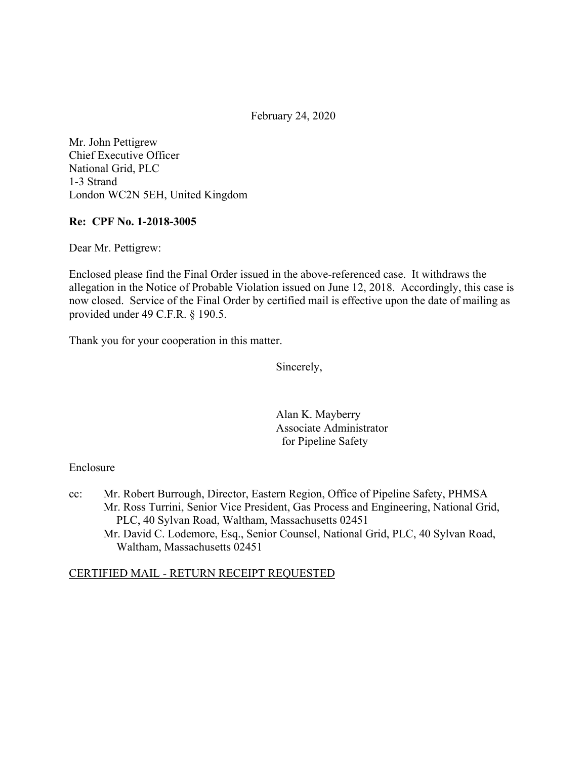February 24, 2020

Mr. John Pettigrew Chief Executive Officer National Grid, PLC 1-3 Strand London WC2N 5EH, United Kingdom

## **Re: CPF No. 1-2018-3005**

Dear Mr. Pettigrew:

Enclosed please find the Final Order issued in the above-referenced case. It withdraws the allegation in the Notice of Probable Violation issued on June 12, 2018. Accordingly, this case is now closed. Service of the Final Order by certified mail is effective upon the date of mailing as provided under 49 C.F.R. § 190.5.

Thank you for your cooperation in this matter.

Sincerely,

Alan K. Mayberry Associate Administrator for Pipeline Safety

#### Enclosure

cc: Mr. Robert Burrough, Director, Eastern Region, Office of Pipeline Safety, PHMSA Mr. Ross Turrini, Senior Vice President, Gas Process and Engineering, National Grid, PLC, 40 Sylvan Road, Waltham, Massachusetts 02451 Mr. David C. Lodemore, Esq., Senior Counsel, National Grid, PLC, 40 Sylvan Road, Waltham, Massachusetts 02451

#### CERTIFIED MAIL - RETURN RECEIPT REQUESTED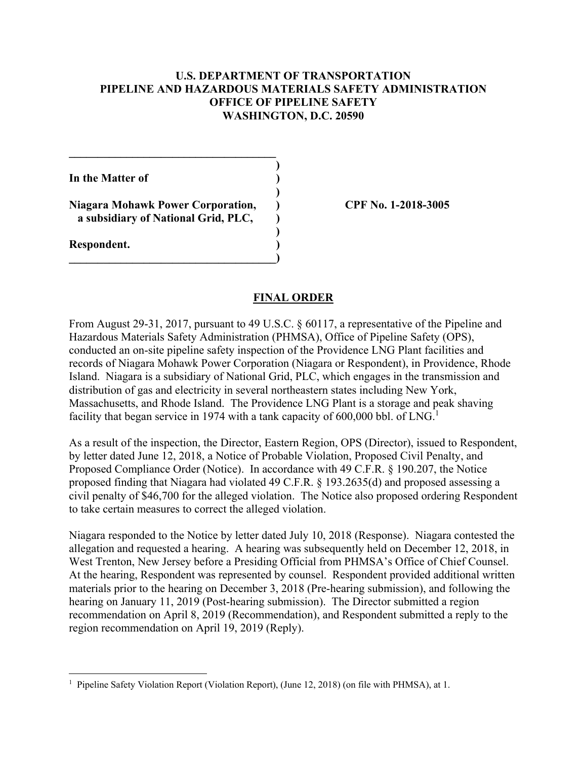## **U.S. DEPARTMENT OF TRANSPORTATION PIPELINE AND HAZARDOUS MATERIALS SAFETY ADMINISTRATION OFFICE OF PIPELINE SAFETY WASHINGTON, D.C. 20590**

**)** 

**)** 

**)** 

**In the Matter of )** 

**Niagara Mohawk Power Corporation, ) CPF No. 1-2018-3005 a subsidiary of National Grid, PLC, )** 

 $\overline{\phantom{a}}$ 

**\_\_\_\_\_\_\_\_\_\_\_\_\_\_\_\_\_\_\_\_\_\_\_\_\_\_\_\_\_\_\_\_\_\_\_\_** 

**Respondent. )** 

#### **FINAL ORDER**

From August 29-31, 2017, pursuant to 49 U.S.C. § 60117, a representative of the Pipeline and Hazardous Materials Safety Administration (PHMSA), Office of Pipeline Safety (OPS), conducted an on-site pipeline safety inspection of the Providence LNG Plant facilities and records of Niagara Mohawk Power Corporation (Niagara or Respondent), in Providence, Rhode Island. Niagara is a subsidiary of National Grid, PLC, which engages in the transmission and distribution of gas and electricity in several northeastern states including New York, Massachusetts, and Rhode Island. The Providence LNG Plant is a storage and peak shaving facility that began service in 1974 with a tank capacity of 600,000 bbl. of LNG.<sup>1</sup>

As a result of the inspection, the Director, Eastern Region, OPS (Director), issued to Respondent, by letter dated June 12, 2018, a Notice of Probable Violation, Proposed Civil Penalty, and Proposed Compliance Order (Notice). In accordance with 49 C.F.R. § 190.207, the Notice proposed finding that Niagara had violated 49 C.F.R. § 193.2635(d) and proposed assessing a civil penalty of \$46,700 for the alleged violation. The Notice also proposed ordering Respondent to take certain measures to correct the alleged violation.

Niagara responded to the Notice by letter dated July 10, 2018 (Response). Niagara contested the allegation and requested a hearing. A hearing was subsequently held on December 12, 2018, in West Trenton, New Jersey before a Presiding Official from PHMSA's Office of Chief Counsel. At the hearing, Respondent was represented by counsel. Respondent provided additional written materials prior to the hearing on December 3, 2018 (Pre-hearing submission), and following the hearing on January 11, 2019 (Post-hearing submission). The Director submitted a region recommendation on April 8, 2019 (Recommendation), and Respondent submitted a reply to the region recommendation on April 19, 2019 (Reply).

<sup>1</sup> <sup>1</sup> Pipeline Safety Violation Report (Violation Report), (June 12, 2018) (on file with PHMSA), at 1.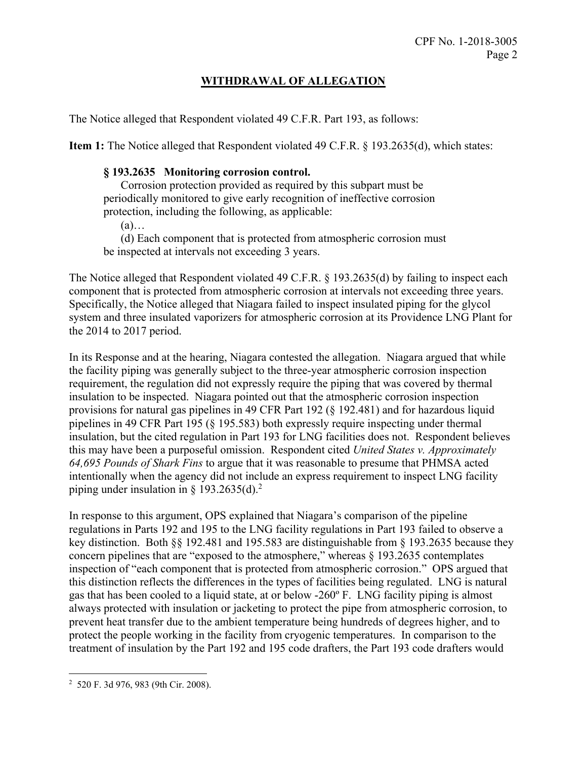# **WITHDRAWAL OF ALLEGATION**

The Notice alleged that Respondent violated 49 C.F.R. Part 193, as follows:

**Item 1:** The Notice alleged that Respondent violated 49 C.F.R. § 193.2635(d), which states:

#### **§ 193.2635 Monitoring corrosion control.**

Corrosion protection provided as required by this subpart must be periodically monitored to give early recognition of ineffective corrosion protection, including the following, as applicable:

(a)…

(d) Each component that is protected from atmospheric corrosion must be inspected at intervals not exceeding 3 years.

The Notice alleged that Respondent violated 49 C.F.R. § 193.2635(d) by failing to inspect each component that is protected from atmospheric corrosion at intervals not exceeding three years. Specifically, the Notice alleged that Niagara failed to inspect insulated piping for the glycol system and three insulated vaporizers for atmospheric corrosion at its Providence LNG Plant for the 2014 to 2017 period.

In its Response and at the hearing, Niagara contested the allegation. Niagara argued that while the facility piping was generally subject to the three-year atmospheric corrosion inspection requirement, the regulation did not expressly require the piping that was covered by thermal insulation to be inspected. Niagara pointed out that the atmospheric corrosion inspection provisions for natural gas pipelines in 49 CFR Part 192 (§ 192.481) and for hazardous liquid pipelines in 49 CFR Part 195 (§ 195.583) both expressly require inspecting under thermal insulation, but the cited regulation in Part 193 for LNG facilities does not. Respondent believes this may have been a purposeful omission. Respondent cited *United States v. Approximately 64,695 Pounds of Shark Fins* to argue that it was reasonable to presume that PHMSA acted intentionally when the agency did not include an express requirement to inspect LNG facility piping under insulation in § 193.2635(d).<sup>2</sup>

In response to this argument, OPS explained that Niagara's comparison of the pipeline regulations in Parts 192 and 195 to the LNG facility regulations in Part 193 failed to observe a key distinction. Both §§ 192.481 and 195.583 are distinguishable from § 193.2635 because they concern pipelines that are "exposed to the atmosphere," whereas § 193.2635 contemplates inspection of "each component that is protected from atmospheric corrosion." OPS argued that this distinction reflects the differences in the types of facilities being regulated. LNG is natural gas that has been cooled to a liquid state, at or below -260º F. LNG facility piping is almost always protected with insulation or jacketing to protect the pipe from atmospheric corrosion, to prevent heat transfer due to the ambient temperature being hundreds of degrees higher, and to protect the people working in the facility from cryogenic temperatures. In comparison to the treatment of insulation by the Part 192 and 195 code drafters, the Part 193 code drafters would

<sup>1</sup> 2 520 F. 3d 976, 983 (9th Cir. 2008).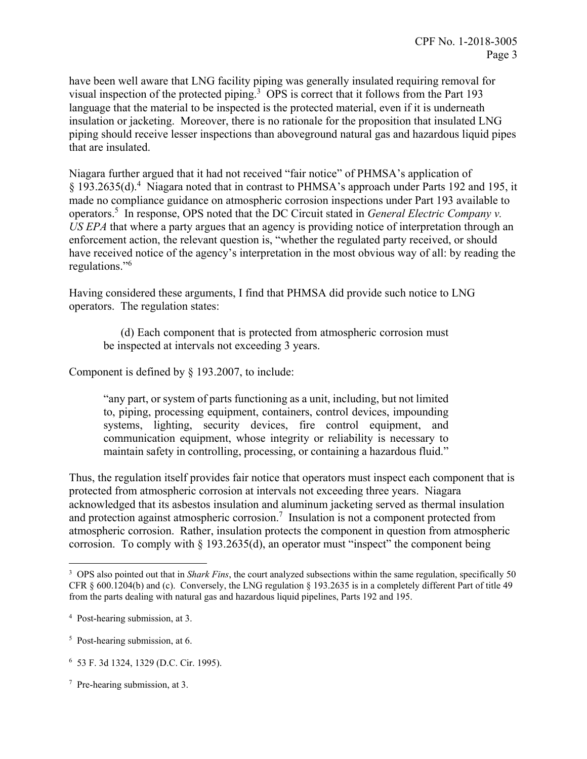have been well aware that LNG facility piping was generally insulated requiring removal for visual inspection of the protected piping.<sup>3</sup> OPS is correct that it follows from the Part 193 language that the material to be inspected is the protected material, even if it is underneath insulation or jacketing. Moreover, there is no rationale for the proposition that insulated LNG piping should receive lesser inspections than aboveground natural gas and hazardous liquid pipes that are insulated.

Niagara further argued that it had not received "fair notice" of PHMSA's application of § 193.2635(d).<sup>4</sup> Niagara noted that in contrast to PHMSA's approach under Parts 192 and 195, it made no compliance guidance on atmospheric corrosion inspections under Part 193 available to operators.5 In response, OPS noted that the DC Circuit stated in *General Electric Company v. US EPA* that where a party argues that an agency is providing notice of interpretation through an enforcement action, the relevant question is, "whether the regulated party received, or should have received notice of the agency's interpretation in the most obvious way of all: by reading the regulations."<sup>6</sup>

Having considered these arguments, I find that PHMSA did provide such notice to LNG operators. The regulation states:

(d) Each component that is protected from atmospheric corrosion must be inspected at intervals not exceeding 3 years.

Component is defined by § 193.2007, to include:

"any part, or system of parts functioning as a unit, including, but not limited to, piping, processing equipment, containers, control devices, impounding systems, lighting, security devices, fire control equipment, and communication equipment, whose integrity or reliability is necessary to maintain safety in controlling, processing, or containing a hazardous fluid."

Thus, the regulation itself provides fair notice that operators must inspect each component that is protected from atmospheric corrosion at intervals not exceeding three years. Niagara acknowledged that its asbestos insulation and aluminum jacketing served as thermal insulation and protection against atmospheric corrosion.<sup>7</sup> Insulation is not a component protected from atmospheric corrosion. Rather, insulation protects the component in question from atmospheric corrosion. To comply with  $\S 193.2635(d)$ , an operator must "inspect" the component being

 $\overline{a}$ 

 CFR § 600.1204(b) and (c). Conversely, the LNG regulation § 193.2635 is in a completely different Part of title 49 3 OPS also pointed out that in *Shark Fins*, the court analyzed subsections within the same regulation, specifically 50 from the parts dealing with natural gas and hazardous liquid pipelines, Parts 192 and 195.

 4 Post-hearing submission, at 3.

<sup>&</sup>lt;sup>5</sup> Post-hearing submission, at 6.

 6 53 F. 3d 1324, 1329 (D.C. Cir. 1995).

 7 Pre-hearing submission, at 3.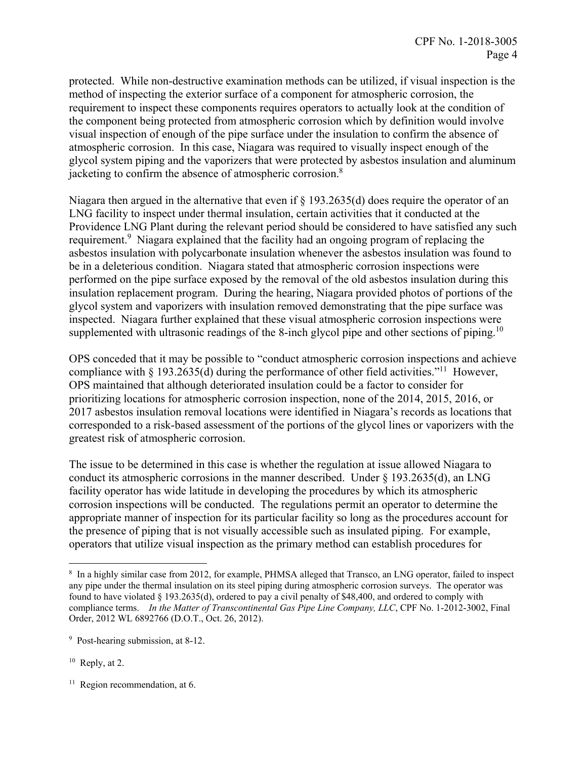protected. While non-destructive examination methods can be utilized, if visual inspection is the method of inspecting the exterior surface of a component for atmospheric corrosion, the requirement to inspect these components requires operators to actually look at the condition of the component being protected from atmospheric corrosion which by definition would involve visual inspection of enough of the pipe surface under the insulation to confirm the absence of atmospheric corrosion. In this case, Niagara was required to visually inspect enough of the glycol system piping and the vaporizers that were protected by asbestos insulation and aluminum jacketing to confirm the absence of atmospheric corrosion.<sup>8</sup>

Niagara then argued in the alternative that even if § 193.2635(d) does require the operator of an LNG facility to inspect under thermal insulation, certain activities that it conducted at the Providence LNG Plant during the relevant period should be considered to have satisfied any such requirement.<sup>9</sup> Niagara explained that the facility had an ongoing program of replacing the asbestos insulation with polycarbonate insulation whenever the asbestos insulation was found to be in a deleterious condition. Niagara stated that atmospheric corrosion inspections were performed on the pipe surface exposed by the removal of the old asbestos insulation during this insulation replacement program. During the hearing, Niagara provided photos of portions of the glycol system and vaporizers with insulation removed demonstrating that the pipe surface was inspected. Niagara further explained that these visual atmospheric corrosion inspections were supplemented with ultrasonic readings of the 8-inch glycol pipe and other sections of piping.<sup>10</sup>

OPS conceded that it may be possible to "conduct atmospheric corrosion inspections and achieve compliance with  $\S 193.2635(d)$  during the performance of other field activities."<sup>11</sup> However, OPS maintained that although deteriorated insulation could be a factor to consider for prioritizing locations for atmospheric corrosion inspection, none of the 2014, 2015, 2016, or 2017 asbestos insulation removal locations were identified in Niagara's records as locations that corresponded to a risk-based assessment of the portions of the glycol lines or vaporizers with the greatest risk of atmospheric corrosion.

The issue to be determined in this case is whether the regulation at issue allowed Niagara to conduct its atmospheric corrosions in the manner described. Under  $\S$  193.2635(d), an LNG facility operator has wide latitude in developing the procedures by which its atmospheric corrosion inspections will be conducted. The regulations permit an operator to determine the appropriate manner of inspection for its particular facility so long as the procedures account for the presence of piping that is not visually accessible such as insulated piping. For example, operators that utilize visual inspection as the primary method can establish procedures for

 $\overline{a}$ 

 $11$  Region recommendation, at 6.

<sup>&</sup>lt;sup>8</sup> In a highly similar case from 2012, for example, PHMSA alleged that Transco, an LNG operator, failed to inspect any pipe under the thermal insulation on its steel piping during atmospheric corrosion surveys. The operator was found to have violated § 193.2635(d), ordered to pay a civil penalty of \$48,400, and ordered to comply with compliance terms. *In the Matter of Transcontinental Gas Pipe Line Company, LLC*, CPF No. 1-2012-3002, Final Order, 2012 WL 6892766 (D.O.T., Oct. 26, 2012).

<sup>&</sup>lt;sup>9</sup> Post-hearing submission, at 8-12.

 $10$  Reply, at 2.